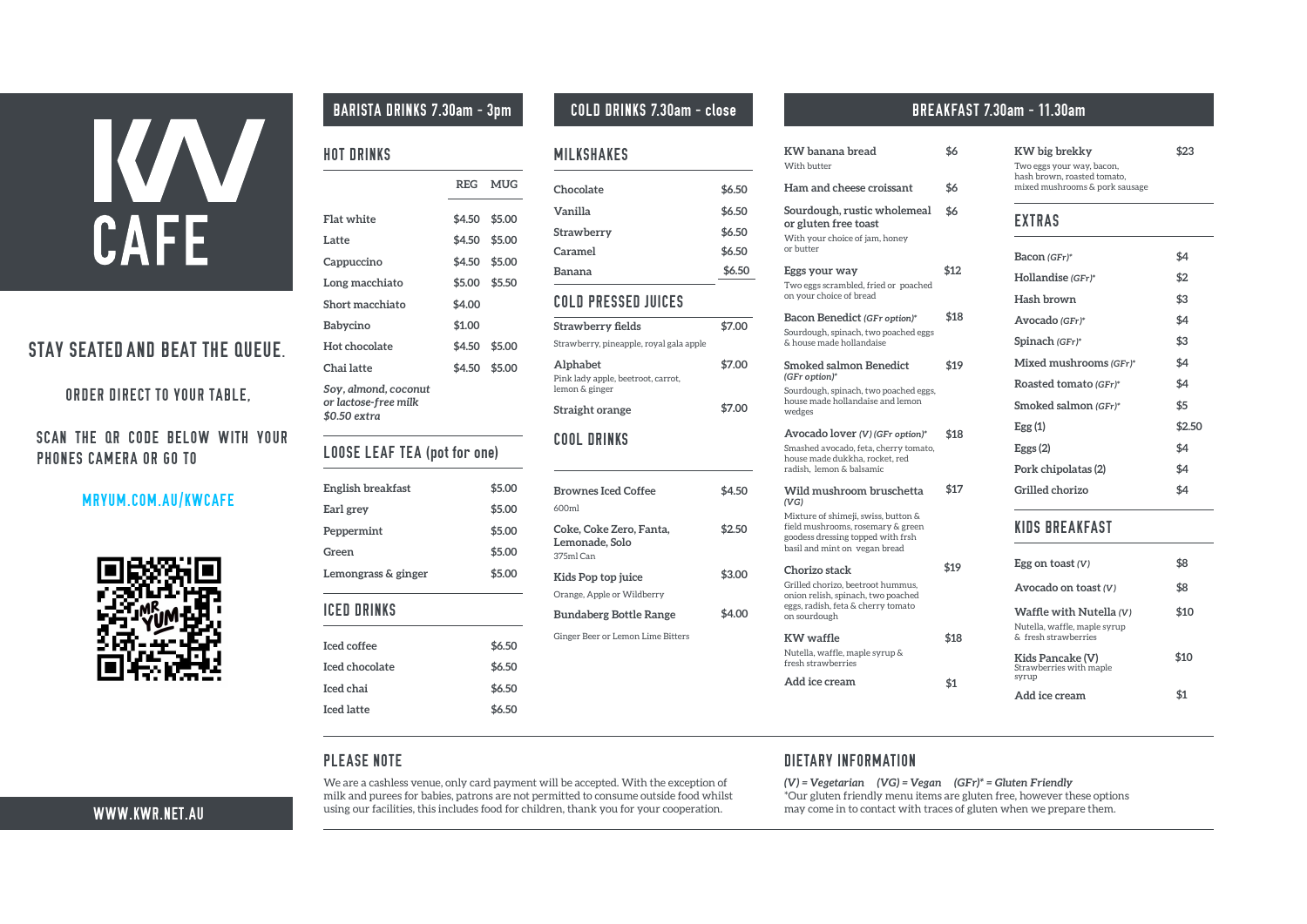# KAV CAFE

**2 2 A PA PA A P KN AENAKPK PN HA( 2 A MNAHKS EP K LNK A IAN KN CK PK IN | KI +GS BA** 



|  |  |  | BARIS A RINKS PEN 3pn |  |  |
|--|--|--|-----------------------|--|--|
|--|--|--|-----------------------|--|--|

### HOT DRINKS

# LOOSE LEAF TEA (pot for one)

| English breakfast                            | \$5.00 |
|----------------------------------------------|--------|
| Earl grey                                    | \$5.00 |
| <b>Peppermint</b>                            | \$5.00 |
| Green                                        | \$5.00 |
| Lemongrass & ginger                          | \$5.00 |
| <b>ICED DRINKS</b>                           |        |
| Iced coffee mocha<br>(Ice cream + cream inc) | \$7.50 |
| Iced chocolate                               | \$7.50 |
| Iced chai                                    | \$7.50 |
| long black<br>lced latte                     | \$7.50 |

HDUHDFDKOHYHXHROFDUGSDPHWZLOOEHDFFHSWHGLWKWKHHFHSWLRRI PLONDGSXUHHIRUEDELHSDWURDUHRWSHUPLWWHGWRFRXPHRXWLGHIRRG ZKLOWXLJRXUIDFLOLWLHWKLLFOXGHIRRGIRUFKLOGUHWKDNRXIRURXU

### MILKSHAKES

### COLD PRESSED JUICES

### **BARIS7A 'RINKS 2PEN 3pm C2L' 'RINKS 2PEN close**

**\$6**

**KW banana bread**

#### **\$6 \$7 \$13 \$20 \$21 \$19 \$19 \$21 With butter Ham and cheese croissant Sourdough, rustic wholemeal or gluten free toast With your choice of jam, honey or butter Eggs your way 7wo eggs scrambled, fried or poached on your choice of bread Bacon Benedict (GFr option) Sourdough, spinach, two poached eggs & house made hollandaise Smoked salmon Benedict (GFr option) Sourdough, spinach, two poached eggs, house made hollandaise and lemon wedges Avocado lover (V) (GFr option) Smashed avocado, feta, cherry tomato, house made dukkha, rocket, red radish, lemon & balsamic Wild mushroom bruschetta (VG) Mixture of shimeji, swiss, button & field mushrooms, rosemary & green goodess dressing topped with frsh basil and mint on vegan bread Chorizo stack Grilled chorizo, beetroot hummus, onion relish, spinach, two poached eggs, radish, feta & cherry tomato on sourdough KW waffle Nutella, waffle, maple syrup & fresh strawberries Add ice cream \$20 \$1**

### EXTRAS

| Bacon (GFr) Hollandise | \$4    |
|------------------------|--------|
| (GFr)                  | \$2    |
| <b>Hash brown</b>      | \$3    |
| Avocado (GFr)          | \$4    |
| Spinach (GFr)          | \$3    |
| Mixed mushrooms        | \$5    |
| (GFr) Roasted tomato   | \$4    |
| (GFr) Smoked salmon    | \$6    |
| (GFr) Egg (1)          | \$2.50 |
| Eggs $(2)$             | \$4    |
| Pork chipolatas (2)    | \$4    |
| <b>Grilled chorizo</b> | \$5    |
|                        |        |

|                                                          |        | REG MUG       |
|----------------------------------------------------------|--------|---------------|
| <b>Flat white</b>                                        | \$5.00 | \$5.50        |
| Latte                                                    |        | \$5.00 \$5.50 |
| <b>Cappuccino</b>                                        |        | \$5.00 \$5.50 |
| Long macchiato                                           |        | \$5.50 \$6.00 |
| <b>Long Black</b>                                        |        | \$5.00 \$5.50 |
| <b>Short macchiato</b>                                   | \$4.00 |               |
| Babycino                                                 | \$2.00 |               |
| <b>Hot chocolate</b>                                     | \$4.50 | \$5.00        |
| <b>Chai latte</b>                                        |        | \$4.50 \$5.00 |
| ecaf, Soy, almond, oat \$1 extra<br>or lactose free milk |        |               |

# KIDS BREAKFAST

| <b>Strawberry fields</b>                                                | \$8.00 |
|-------------------------------------------------------------------------|--------|
| Strawberry, pineapple, royal gala apple                                 |        |
| <b>Alphabet</b><br>Pink lady apple, beetroot, carrot,<br>lemon & ginger | \$8.00 |
| <b>Straight orange</b>                                                  | \$8,00 |

### $CD. 1(-$

| \$7.50 |
|--------|
| \$7.50 |
| \$7.50 |
| \$7.50 |
| \$7.50 |
|        |

### **BREAKFAS7 2PEN 11.30am**

### **KW big brekky**

**7wo eggs your way, bacon, hash brown, roasted tomato, mixed mushrooms & pork sausage**

**\$25**

PLEASE NOTE

FRRSHUDWLR

| Egg on toast (V)                                                                | \$8  |
|---------------------------------------------------------------------------------|------|
| Avocado on toast (V)                                                            | \$8  |
| Waffle with Nutella (V)<br>Nutella, waffle, maple syrup &<br>fresh strawberries | \$10 |
| Kids Pancake (V)<br><b>Strawberries with maple</b><br>syrup                     | \$10 |
| Add ice cream                                                                   | \$1  |

### DIETARY INFORMATION

*(V) = Vegetarian (VG) = Vegan (GFr)\* = Gluten Friendly 2XUJOXWHQIULHQGO\PHQXLWHPVDUHJOXWHQIUHKRZHYUWKHVHRSWLRQV PD\FRPHLQWRFRQWDFWZLWKUDFHVRIJOXWHQZKHQZHSUHSDUHWKHP*

WWW.KW1.-3.AU

| <b>Brownes Iced Coffee</b>               | \$4.50 |
|------------------------------------------|--------|
| 600ml                                    |        |
| Coke, Coke Zero, Fanta,                  | \$3.00 |
| <b>Lemonade, Solo</b>                    |        |
| 375ml Can                                |        |
| Kids Pop top juice                       | \$3.50 |
| range, Apple or Wildberry                |        |
| <b>Bundaberg Bottle Range</b>            | \$5.00 |
| <b>Ginger Beer or Lemon Lime Bitters</b> |        |
|                                          |        |
|                                          |        |